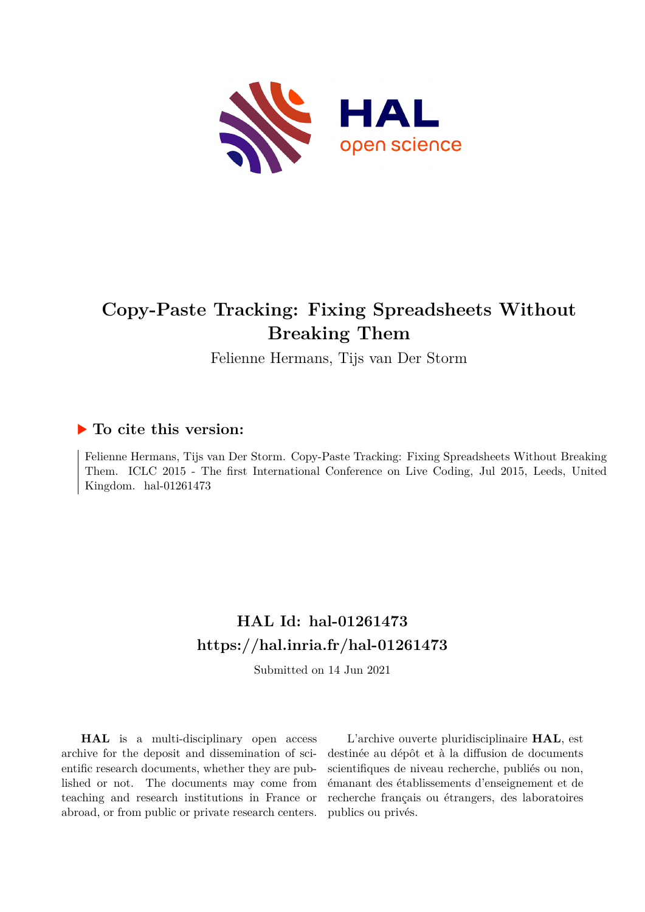

# **Copy-Paste Tracking: Fixing Spreadsheets Without Breaking Them**

Felienne Hermans, Tijs van Der Storm

#### **To cite this version:**

Felienne Hermans, Tijs van Der Storm. Copy-Paste Tracking: Fixing Spreadsheets Without Breaking Them. ICLC 2015 - The first International Conference on Live Coding, Jul 2015, Leeds, United Kingdom. hal- $01261473$ 

# **HAL Id: hal-01261473 <https://hal.inria.fr/hal-01261473>**

Submitted on 14 Jun 2021

**HAL** is a multi-disciplinary open access archive for the deposit and dissemination of scientific research documents, whether they are published or not. The documents may come from teaching and research institutions in France or abroad, or from public or private research centers.

L'archive ouverte pluridisciplinaire **HAL**, est destinée au dépôt et à la diffusion de documents scientifiques de niveau recherche, publiés ou non, émanant des établissements d'enseignement et de recherche français ou étrangers, des laboratoires publics ou privés.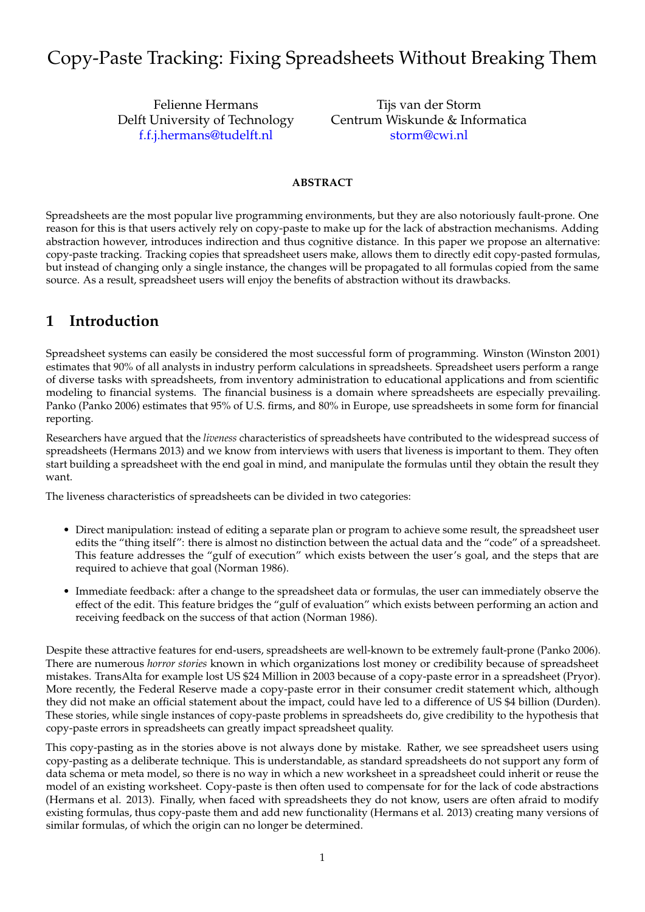# Copy-Paste Tracking: Fixing Spreadsheets Without Breaking Them

Felienne Hermans Delft University of Technology [f.f.j.hermans@tudelft.nl](mailto:f.f.j.hermans@tudelft.nl)

Tijs van der Storm Centrum Wiskunde & Informatica [storm@cwi.nl](mailto:storm@cwi.nl)

#### **ABSTRACT**

Spreadsheets are the most popular live programming environments, but they are also notoriously fault-prone. One reason for this is that users actively rely on copy-paste to make up for the lack of abstraction mechanisms. Adding abstraction however, introduces indirection and thus cognitive distance. In this paper we propose an alternative: copy-paste tracking. Tracking copies that spreadsheet users make, allows them to directly edit copy-pasted formulas, but instead of changing only a single instance, the changes will be propagated to all formulas copied from the same source. As a result, spreadsheet users will enjoy the benefits of abstraction without its drawbacks.

#### **1 Introduction**

Spreadsheet systems can easily be considered the most successful form of programming. Winston (Winston 2001) estimates that 90% of all analysts in industry perform calculations in spreadsheets. Spreadsheet users perform a range of diverse tasks with spreadsheets, from inventory administration to educational applications and from scientific modeling to financial systems. The financial business is a domain where spreadsheets are especially prevailing. Panko (Panko 2006) estimates that 95% of U.S. firms, and 80% in Europe, use spreadsheets in some form for financial reporting.

Researchers have argued that the *liveness* characteristics of spreadsheets have contributed to the widespread success of spreadsheets (Hermans 2013) and we know from interviews with users that liveness is important to them. They often start building a spreadsheet with the end goal in mind, and manipulate the formulas until they obtain the result they want.

The liveness characteristics of spreadsheets can be divided in two categories:

- Direct manipulation: instead of editing a separate plan or program to achieve some result, the spreadsheet user edits the "thing itself": there is almost no distinction between the actual data and the "code" of a spreadsheet. This feature addresses the "gulf of execution" which exists between the user's goal, and the steps that are required to achieve that goal (Norman 1986).
- Immediate feedback: after a change to the spreadsheet data or formulas, the user can immediately observe the effect of the edit. This feature bridges the "gulf of evaluation" which exists between performing an action and receiving feedback on the success of that action (Norman 1986).

Despite these attractive features for end-users, spreadsheets are well-known to be extremely fault-prone (Panko 2006). There are numerous *horror stories* known in which organizations lost money or credibility because of spreadsheet mistakes. TransAlta for example lost US \$24 Million in 2003 because of a copy-paste error in a spreadsheet (Pryor). More recently, the Federal Reserve made a copy-paste error in their consumer credit statement which, although they did not make an official statement about the impact, could have led to a difference of US \$4 billion (Durden). These stories, while single instances of copy-paste problems in spreadsheets do, give credibility to the hypothesis that copy-paste errors in spreadsheets can greatly impact spreadsheet quality.

This copy-pasting as in the stories above is not always done by mistake. Rather, we see spreadsheet users using copy-pasting as a deliberate technique. This is understandable, as standard spreadsheets do not support any form of data schema or meta model, so there is no way in which a new worksheet in a spreadsheet could inherit or reuse the model of an existing worksheet. Copy-paste is then often used to compensate for for the lack of code abstractions (Hermans et al. 2013). Finally, when faced with spreadsheets they do not know, users are often afraid to modify existing formulas, thus copy-paste them and add new functionality (Hermans et al. 2013) creating many versions of similar formulas, of which the origin can no longer be determined.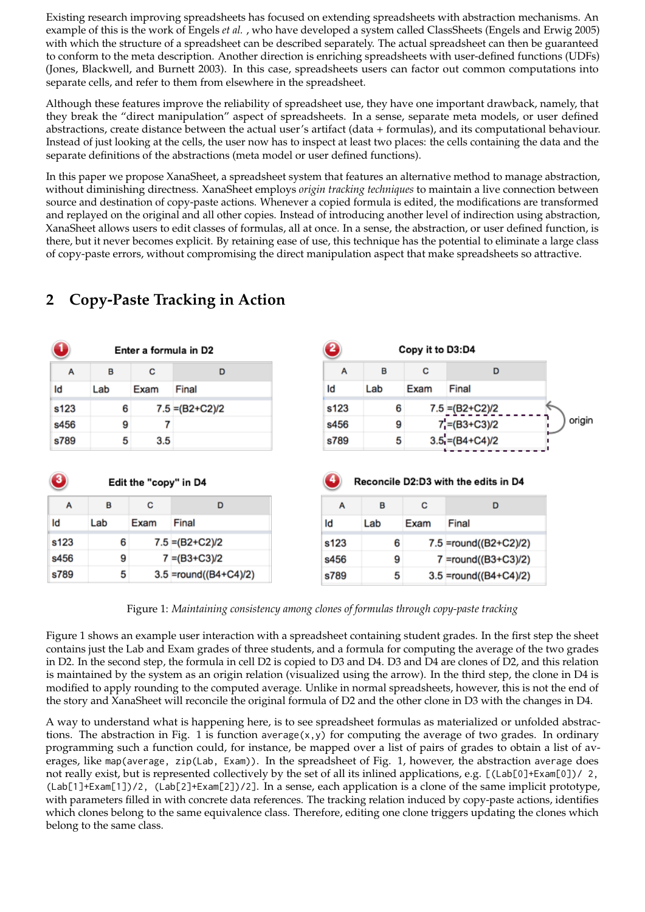Existing research improving spreadsheets has focused on extending spreadsheets with abstraction mechanisms. An example of this is the work of Engels *et al.* , who have developed a system called ClassSheets (Engels and Erwig 2005) with which the structure of a spreadsheet can be described separately. The actual spreadsheet can then be guaranteed to conform to the meta description. Another direction is enriching spreadsheets with user-defined functions (UDFs) (Jones, Blackwell, and Burnett 2003). In this case, spreadsheets users can factor out common computations into separate cells, and refer to them from elsewhere in the spreadsheet.

Although these features improve the reliability of spreadsheet use, they have one important drawback, namely, that they break the "direct manipulation" aspect of spreadsheets. In a sense, separate meta models, or user defined abstractions, create distance between the actual user's artifact (data + formulas), and its computational behaviour. Instead of just looking at the cells, the user now has to inspect at least two places: the cells containing the data and the separate definitions of the abstractions (meta model or user defined functions).

In this paper we propose XanaSheet, a spreadsheet system that features an alternative method to manage abstraction, without diminishing directness. XanaSheet employs *origin tracking techniques* to maintain a live connection between source and destination of copy-paste actions. Whenever a copied formula is edited, the modifications are transformed and replayed on the original and all other copies. Instead of introducing another level of indirection using abstraction, XanaSheet allows users to edit classes of formulas, all at once. In a sense, the abstraction, or user defined function, is there, but it never becomes explicit. By retaining ease of use, this technique has the potential to eliminate a large class of copy-paste errors, without compromising the direct manipulation aspect that make spreadsheets so attractive.

| -1                       |     |                       | Enter a formula in D2 | B    |     | Copy it to D3:D4 |                                      |
|--------------------------|-----|-----------------------|-----------------------|------|-----|------------------|--------------------------------------|
| A                        | в   | c                     | D                     | A    | в   | c                | D                                    |
| Id                       | Lab | Exam                  | Final                 | Id   | Lab | Exam             | Final                                |
| s123                     | 6   |                       | $7.5 = (B2+C2)/2$     | s123 | 6   |                  | $7.5 = (B2+C2)/2$                    |
| s456                     | 9   | 7                     |                       | s456 | 9   |                  | $7'$ =(B3+C3)/2                      |
|                          | 5   | 3.5                   |                       | s789 | 5   |                  | $3.5 = (B4+C4)/2$                    |
| s789                     |     |                       |                       |      |     |                  |                                      |
|                          |     | Edit the "copy" in D4 |                       | - 4  |     |                  | Reconcile D2:D3 with the edits in D4 |
| A                        | в   | c                     | D                     | A    | B   | c                | D                                    |
|                          | Lab | Exam                  | Final                 | ld   | Lab | Exam             | Final                                |
|                          | 6   |                       | $7.5 = (B2+C2)/2$     | s123 | 6   |                  | 7.5 =round((B2+C2)/2)                |
| 3)<br>Id<br>s123<br>s456 | 9   |                       | $7 = (B3 + C3)/2$     | s456 | 9   |                  | 7 =round((B3+C3)/2)                  |

## **2 Copy-Paste Tracking in Action**

Figure 1: *Maintaining consistency among clones of formulas through copy-paste tracking*

Figure 1 shows an example user interaction with a spreadsheet containing student grades. In the first step the sheet contains just the Lab and Exam grades of three students, and a formula for computing the average of the two grades in D2. In the second step, the formula in cell D2 is copied to D3 and D4. D3 and D4 are clones of D2, and this relation is maintained by the system as an origin relation (visualized using the arrow). In the third step, the clone in D4 is modified to apply rounding to the computed average. Unlike in normal spreadsheets, however, this is not the end of the story and XanaSheet will reconcile the original formula of D2 and the other clone in D3 with the changes in D4.

A way to understand what is happening here, is to see spreadsheet formulas as materialized or unfolded abstractions. The abstraction in Fig. 1 is function average(x,y) for computing the average of two grades. In ordinary programming such a function could, for instance, be mapped over a list of pairs of grades to obtain a list of averages, like map(average, zip(Lab, Exam)). In the spreadsheet of Fig. 1, however, the abstraction average does not really exist, but is represented collectively by the set of all its inlined applications, e.g. [(Lab[0]+Exam[0])/ 2, (Lab[1]+Exam[1])/2, (Lab[2]+Exam[2])/2]. In a sense, each application is a clone of the same implicit prototype, with parameters filled in with concrete data references. The tracking relation induced by copy-paste actions, identifies which clones belong to the same equivalence class. Therefore, editing one clone triggers updating the clones which belong to the same class.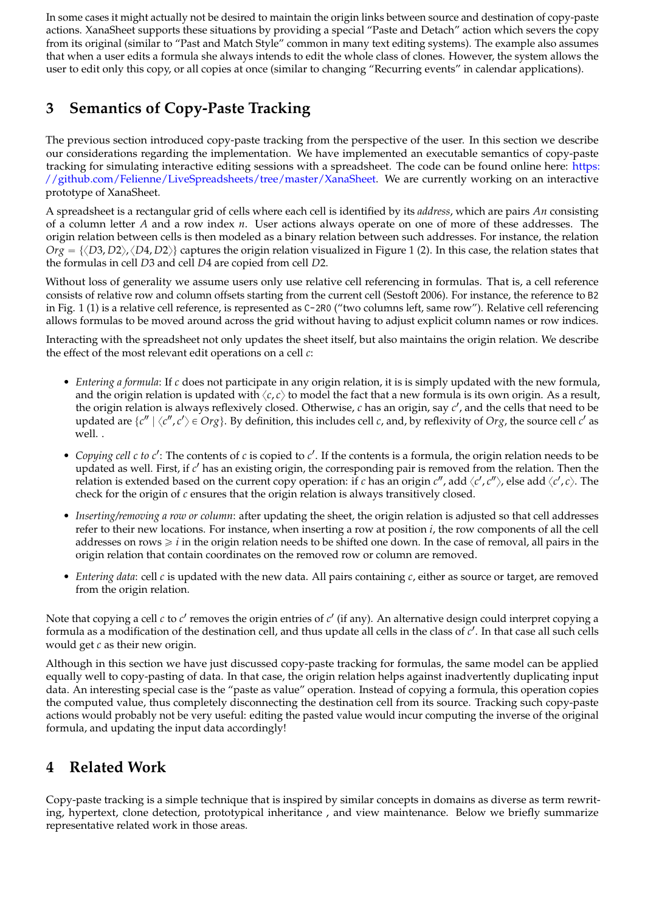In some cases it might actually not be desired to maintain the origin links between source and destination of copy-paste actions. XanaSheet supports these situations by providing a special "Paste and Detach" action which severs the copy from its original (similar to "Past and Match Style" common in many text editing systems). The example also assumes that when a user edits a formula she always intends to edit the whole class of clones. However, the system allows the user to edit only this copy, or all copies at once (similar to changing "Recurring events" in calendar applications).

# **3 Semantics of Copy-Paste Tracking**

The previous section introduced copy-paste tracking from the perspective of the user. In this section we describe our considerations regarding the implementation. We have implemented an executable semantics of copy-paste tracking for simulating interactive editing sessions with a spreadsheet. The code can be found online here: [https:](https://github.com/Felienne/LiveSpreadsheets/tree/master/XanaSheet) [//github.com/Felienne/LiveSpreadsheets/tree/master/XanaSheet.](https://github.com/Felienne/LiveSpreadsheets/tree/master/XanaSheet) We are currently working on an interactive prototype of XanaSheet.

A spreadsheet is a rectangular grid of cells where each cell is identified by its *address*, which are pairs *An* consisting of a column letter *A* and a row index *n*. User actions always operate on one of more of these addresses. The origin relation between cells is then modeled as a binary relation between such addresses. For instance, the relation  $Org = \{ \langle D3, D2 \rangle, \langle D4, D2 \rangle \}$  captures the origin relation visualized in Figure 1 (2). In this case, the relation states that the formulas in cell *D*3 and cell *D*4 are copied from cell *D*2.

Without loss of generality we assume users only use relative cell referencing in formulas. That is, a cell reference consists of relative row and column offsets starting from the current cell (Sestoft 2006). For instance, the reference to B2 in Fig. 1 (1) is a relative cell reference, is represented as C-2R0 ("two columns left, same row"). Relative cell referencing allows formulas to be moved around across the grid without having to adjust explicit column names or row indices.

Interacting with the spreadsheet not only updates the sheet itself, but also maintains the origin relation. We describe the effect of the most relevant edit operations on a cell *c*:

- *Entering a formula*: If *c* does not participate in any origin relation, it is is simply updated with the new formula, and the origin relation is updated with  $\langle c, c \rangle$  to model the fact that a new formula is its own origin. As a result, the origin relation is always reflexively closed. Otherwise, *c* has an origin, say *c* 1 , and the cells that need to be updated are  $\{c'' \mid \langle c'', c' \rangle \in Org\}$ . By definition, this includes cell *c*, and, by reflexivity of *Org*, the source cell *c'* as well. .
- *Copying cell c to c'*: The contents of *c* is copied to *c'*. If the contents is a formula, the origin relation needs to be updated as well. First, if c' has an existing origin, the corresponding pair is removed from the relation. Then the relation is extended based on the current copy operation: if *c* has an origin  $c''$ , add  $\langle c', c'' \rangle$ , else add  $\langle c', c \rangle$ . The check for the origin of *c* ensures that the origin relation is always transitively closed.
- *Inserting/removing a row or column*: after updating the sheet, the origin relation is adjusted so that cell addresses refer to their new locations. For instance, when inserting a row at position *i*, the row components of all the cell addresses on rows  $\geq i$  in the origin relation needs to be shifted one down. In the case of removal, all pairs in the origin relation that contain coordinates on the removed row or column are removed.
- *Entering data*: cell *c* is updated with the new data. All pairs containing *c*, either as source or target, are removed from the origin relation.

Note that copying a cell *c* to *c'* removes the origin entries of *c'* (if any). An alternative design could interpret copying a formula as a modification of the destination cell, and thus update all cells in the class of *c'*. In that case all such cells would get *c* as their new origin.

Although in this section we have just discussed copy-paste tracking for formulas, the same model can be applied equally well to copy-pasting of data. In that case, the origin relation helps against inadvertently duplicating input data. An interesting special case is the "paste as value" operation. Instead of copying a formula, this operation copies the computed value, thus completely disconnecting the destination cell from its source. Tracking such copy-paste actions would probably not be very useful: editing the pasted value would incur computing the inverse of the original formula, and updating the input data accordingly!

## **4 Related Work**

Copy-paste tracking is a simple technique that is inspired by similar concepts in domains as diverse as term rewriting, hypertext, clone detection, prototypical inheritance , and view maintenance. Below we briefly summarize representative related work in those areas.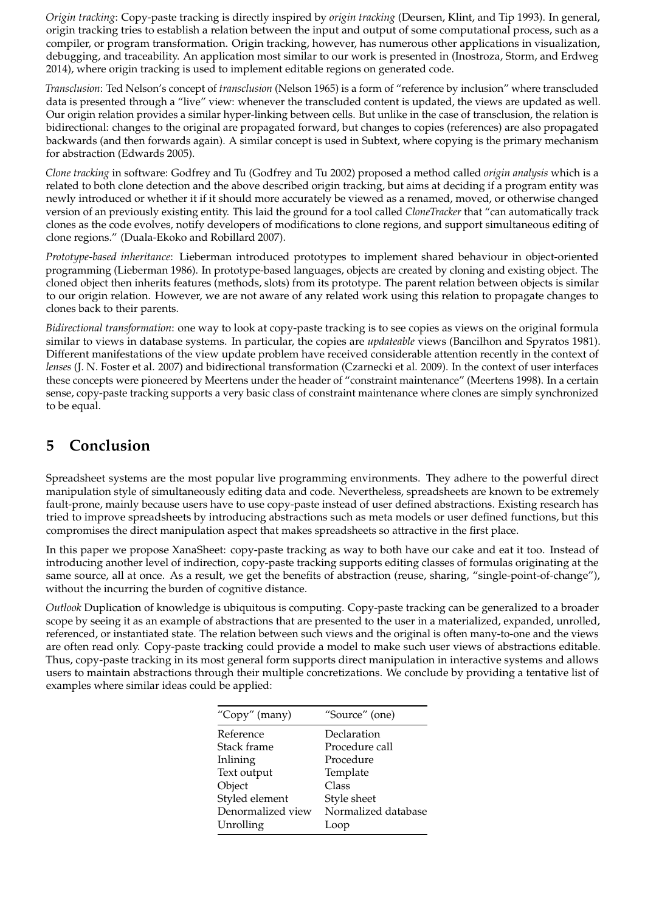*Origin tracking*: Copy-paste tracking is directly inspired by *origin tracking* (Deursen, Klint, and Tip 1993). In general, origin tracking tries to establish a relation between the input and output of some computational process, such as a compiler, or program transformation. Origin tracking, however, has numerous other applications in visualization, debugging, and traceability. An application most similar to our work is presented in (Inostroza, Storm, and Erdweg 2014), where origin tracking is used to implement editable regions on generated code.

*Transclusion*: Ted Nelson's concept of *transclusion* (Nelson 1965) is a form of "reference by inclusion" where transcluded data is presented through a "live" view: whenever the transcluded content is updated, the views are updated as well. Our origin relation provides a similar hyper-linking between cells. But unlike in the case of transclusion, the relation is bidirectional: changes to the original are propagated forward, but changes to copies (references) are also propagated backwards (and then forwards again). A similar concept is used in Subtext, where copying is the primary mechanism for abstraction (Edwards 2005).

*Clone tracking* in software: Godfrey and Tu (Godfrey and Tu 2002) proposed a method called *origin analysis* which is a related to both clone detection and the above described origin tracking, but aims at deciding if a program entity was newly introduced or whether it if it should more accurately be viewed as a renamed, moved, or otherwise changed version of an previously existing entity. This laid the ground for a tool called *CloneTracker* that "can automatically track clones as the code evolves, notify developers of modifications to clone regions, and support simultaneous editing of clone regions." (Duala-Ekoko and Robillard 2007).

*Prototype-based inheritance*: Lieberman introduced prototypes to implement shared behaviour in object-oriented programming (Lieberman 1986). In prototype-based languages, objects are created by cloning and existing object. The cloned object then inherits features (methods, slots) from its prototype. The parent relation between objects is similar to our origin relation. However, we are not aware of any related work using this relation to propagate changes to clones back to their parents.

*Bidirectional transformation*: one way to look at copy-paste tracking is to see copies as views on the original formula similar to views in database systems. In particular, the copies are *updateable* views (Bancilhon and Spyratos 1981). Different manifestations of the view update problem have received considerable attention recently in the context of *lenses* (J. N. Foster et al. 2007) and bidirectional transformation (Czarnecki et al. 2009). In the context of user interfaces these concepts were pioneered by Meertens under the header of "constraint maintenance" (Meertens 1998). In a certain sense, copy-paste tracking supports a very basic class of constraint maintenance where clones are simply synchronized to be equal.

## **5 Conclusion**

Spreadsheet systems are the most popular live programming environments. They adhere to the powerful direct manipulation style of simultaneously editing data and code. Nevertheless, spreadsheets are known to be extremely fault-prone, mainly because users have to use copy-paste instead of user defined abstractions. Existing research has tried to improve spreadsheets by introducing abstractions such as meta models or user defined functions, but this compromises the direct manipulation aspect that makes spreadsheets so attractive in the first place.

In this paper we propose XanaSheet: copy-paste tracking as way to both have our cake and eat it too. Instead of introducing another level of indirection, copy-paste tracking supports editing classes of formulas originating at the same source, all at once. As a result, we get the benefits of abstraction (reuse, sharing, "single-point-of-change"), without the incurring the burden of cognitive distance.

*Outlook* Duplication of knowledge is ubiquitous is computing. Copy-paste tracking can be generalized to a broader scope by seeing it as an example of abstractions that are presented to the user in a materialized, expanded, unrolled, referenced, or instantiated state. The relation between such views and the original is often many-to-one and the views are often read only. Copy-paste tracking could provide a model to make such user views of abstractions editable. Thus, copy-paste tracking in its most general form supports direct manipulation in interactive systems and allows users to maintain abstractions through their multiple concretizations. We conclude by providing a tentative list of examples where similar ideas could be applied:

| "Copy" (many)     | "Source" (one)      |
|-------------------|---------------------|
| Reference         | Declaration         |
| Stack frame       | Procedure call      |
| Inlining          | Procedure           |
| Text output       | Template            |
| Object            | Class               |
| Styled element    | Style sheet         |
| Denormalized view | Normalized database |
| Unrolling         | Loop                |
|                   |                     |